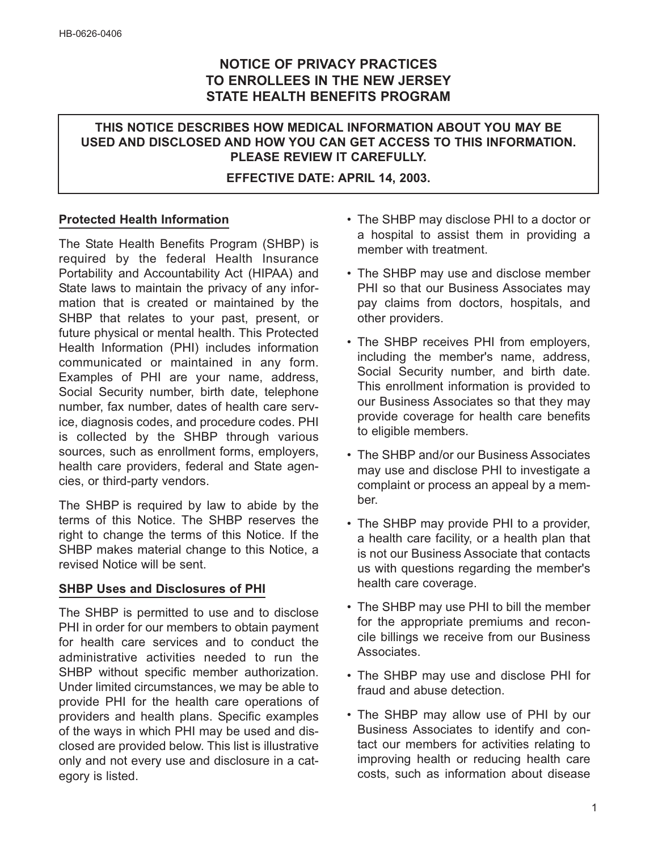# **NOTICE OF PRIVACY PRACTICES TO ENROLLEES IN THE NEW JERSEY STATE HEALTH BENEFITS PROGRAM**

# **THIS NOTICE DESCRIBES HOW MEDICAL INFORMATION ABOUT YOU MAY BE USED AND DISCLOSED AND HOW YOU CAN GET ACCESS TO THIS INFORMATION. PLEASE REVIEW IT CAREFULLY.**

#### **EFFECTIVE DATE: APRIL 14, 2003.**

## **Protected Health Information**

The State Health Benefits Program (SHBP) is required by the federal Health Insurance Portability and Accountability Act (HIPAA) and State laws to maintain the privacy of any information that is created or maintained by the SHBP that relates to your past, present, or future physical or mental health. This Protected Health Information (PHI) includes information communicated or maintained in any form. Examples of PHI are your name, address, Social Security number, birth date, telephone number, fax number, dates of health care service, diagnosis codes, and procedure codes. PHI is collected by the SHBP through various sources, such as enrollment forms, employers, health care providers, federal and State agencies, or third-party vendors.

The SHBP is required by law to abide by the terms of this Notice. The SHBP reserves the right to change the terms of this Notice. If the SHBP makes material change to this Notice, a revised Notice will be sent.

# **SHBP Uses and Disclosures of PHI**

The SHBP is permitted to use and to disclose PHI in order for our members to obtain payment for health care services and to conduct the administrative activities needed to run the SHBP without specific member authorization. Under limited circumstances, we may be able to provide PHI for the health care operations of providers and health plans. Specific examples of the ways in which PHI may be used and disclosed are provided below. This list is illustrative only and not every use and disclosure in a category is listed.

- The SHBP may disclose PHI to a doctor or a hospital to assist them in providing a member with treatment.
- The SHBP may use and disclose member PHI so that our Business Associates may pay claims from doctors, hospitals, and other providers.
- The SHBP receives PHI from employers, including the member's name, address, Social Security number, and birth date. This enrollment information is provided to our Business Associates so that they may provide coverage for health care benefits to eligible members.
- The SHBP and/or our Business Associates may use and disclose PHI to investigate a complaint or process an appeal by a member.
- The SHBP may provide PHI to a provider, a health care facility, or a health plan that is not our Business Associate that contacts us with questions regarding the member's health care coverage.
- The SHBP may use PHI to bill the member for the appropriate premiums and reconcile billings we receive from our Business Associates.
- The SHBP may use and disclose PHI for fraud and abuse detection.
- The SHBP may allow use of PHI by our Business Associates to identify and contact our members for activities relating to improving health or reducing health care costs, such as information about disease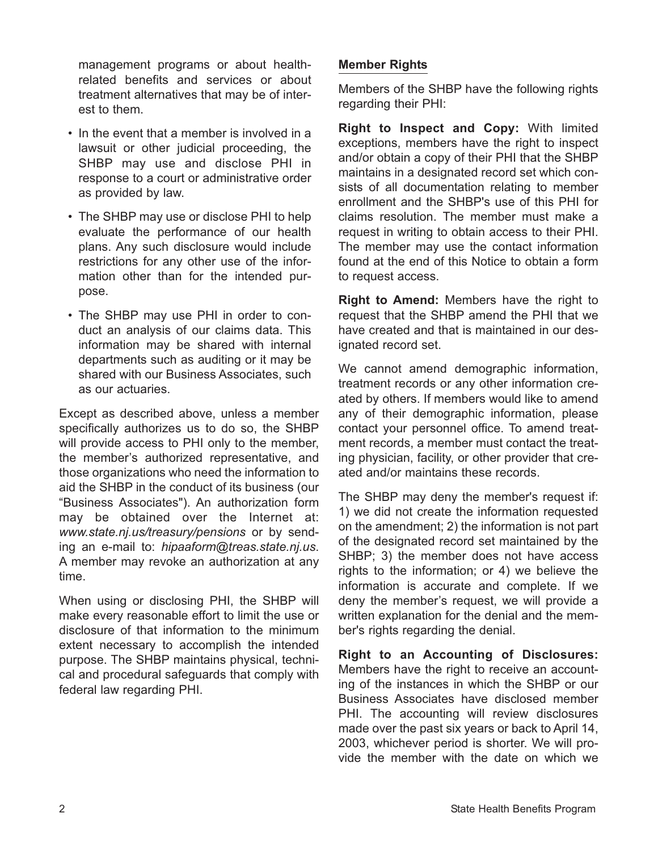management programs or about healthrelated benefits and services or about treatment alternatives that may be of interest to them.

- In the event that a member is involved in a lawsuit or other judicial proceeding, the SHBP may use and disclose PHI in response to a court or administrative order as provided by law.
- The SHBP may use or disclose PHI to help evaluate the performance of our health plans. Any such disclosure would include restrictions for any other use of the information other than for the intended purpose.
- The SHBP may use PHI in order to conduct an analysis of our claims data. This information may be shared with internal departments such as auditing or it may be shared with our Business Associates, such as our actuaries.

Except as described above, unless a member specifically authorizes us to do so, the SHBP will provide access to PHI only to the member, the member's authorized representative, and those organizations who need the information to aid the SHBP in the conduct of its business (our "Business Associates"). An authorization form may be obtained over the Internet at: *www.state.nj.us/treasury/pensions* or by sending an e-mail to: *hipaaform@treas.state.nj.us*. A member may revoke an authorization at any time.

When using or disclosing PHI, the SHBP will make every reasonable effort to limit the use or disclosure of that information to the minimum extent necessary to accomplish the intended purpose. The SHBP maintains physical, technical and procedural safeguards that comply with federal law regarding PHI.

## **Member Rights**

Members of the SHBP have the following rights regarding their PHI:

**Right to Inspect and Copy:** With limited exceptions, members have the right to inspect and/or obtain a copy of their PHI that the SHBP maintains in a designated record set which consists of all documentation relating to member enrollment and the SHBP's use of this PHI for claims resolution. The member must make a request in writing to obtain access to their PHI. The member may use the contact information found at the end of this Notice to obtain a form to request access.

**Right to Amend:** Members have the right to request that the SHBP amend the PHI that we have created and that is maintained in our designated record set.

We cannot amend demographic information, treatment records or any other information created by others. If members would like to amend any of their demographic information, please contact your personnel office. To amend treatment records, a member must contact the treating physician, facility, or other provider that created and/or maintains these records.

The SHBP may deny the member's request if: 1) we did not create the information requested on the amendment; 2) the information is not part of the designated record set maintained by the SHBP; 3) the member does not have access rights to the information; or 4) we believe the information is accurate and complete. If we deny the member's request, we will provide a written explanation for the denial and the member's rights regarding the denial.

**Right to an Accounting of Disclosures:** Members have the right to receive an accounting of the instances in which the SHBP or our Business Associates have disclosed member PHI. The accounting will review disclosures made over the past six years or back to April 14, 2003, whichever period is shorter. We will provide the member with the date on which we